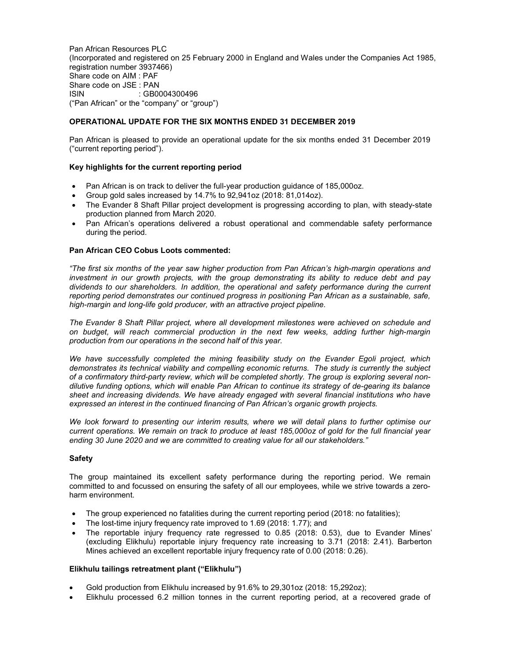Pan African Resources PLC (Incorporated and registered on 25 February 2000 in England and Wales under the Companies Act 1985, registration number 3937466) Share code on AIM : PAF Share code on JSE : PAN ISIN : GB0004300496 ("Pan African" or the "company" or "group")

# OPERATIONAL UPDATE FOR THE SIX MONTHS ENDED 31 DECEMBER 2019

Pan African is pleased to provide an operational update for the six months ended 31 December 2019 ("current reporting period").

## Key highlights for the current reporting period

- Pan African is on track to deliver the full-year production guidance of 185,000oz.
- Group gold sales increased by 14.7% to 92,941oz (2018: 81,014oz).
- The Evander 8 Shaft Pillar project development is progressing according to plan, with steady-state production planned from March 2020.
- Pan African's operations delivered a robust operational and commendable safety performance during the period.

#### Pan African CEO Cobus Loots commented:

"The first six months of the year saw higher production from Pan African's high-margin operations and investment in our growth projects, with the group demonstrating its ability to reduce debt and pay dividends to our shareholders. In addition, the operational and safety performance during the current reporting period demonstrates our continued progress in positioning Pan African as a sustainable, safe, high-margin and long-life gold producer, with an attractive project pipeline.

The Evander 8 Shaft Pillar project, where all development milestones were achieved on schedule and on budget, will reach commercial production in the next few weeks, adding further high-margin production from our operations in the second half of this year.

We have successfully completed the mining feasibility study on the Evander Egoli project, which demonstrates its technical viability and compelling economic returns. The study is currently the subject of a confirmatory third-party review, which will be completed shortly. The group is exploring several nondilutive funding options, which will enable Pan African to continue its strategy of de-gearing its balance sheet and increasing dividends. We have already engaged with several financial institutions who have expressed an interest in the continued financing of Pan African's organic growth projects.

We look forward to presenting our interim results, where we will detail plans to further optimise our current operations. We remain on track to produce at least 185,000oz of gold for the full financial year ending 30 June 2020 and we are committed to creating value for all our stakeholders."

## Safety

The group maintained its excellent safety performance during the reporting period. We remain committed to and focussed on ensuring the safety of all our employees, while we strive towards a zeroharm environment.

- The group experienced no fatalities during the current reporting period (2018: no fatalities);
- The lost-time injury frequency rate improved to 1.69 (2018: 1.77); and
- The reportable injury frequency rate regressed to 0.85 (2018: 0.53), due to Evander Mines' (excluding Elikhulu) reportable injury frequency rate increasing to 3.71 (2018: 2.41). Barberton Mines achieved an excellent reportable injury frequency rate of 0.00 (2018: 0.26).

### Elikhulu tailings retreatment plant ("Elikhulu")

- Gold production from Elikhulu increased by 91.6% to 29,301oz (2018: 15,292oz);
- Elikhulu processed 6.2 million tonnes in the current reporting period, at a recovered grade of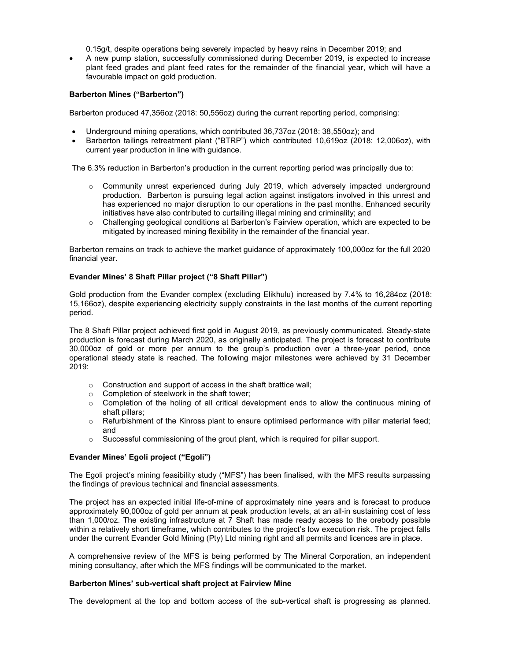0.15g/t, despite operations being severely impacted by heavy rains in December 2019; and

 A new pump station, successfully commissioned during December 2019, is expected to increase plant feed grades and plant feed rates for the remainder of the financial year, which will have a favourable impact on gold production.

### Barberton Mines ("Barberton")

Barberton produced 47,356oz (2018: 50,556oz) during the current reporting period, comprising:

- Underground mining operations, which contributed 36,737oz (2018: 38,550oz); and
- Barberton tailings retreatment plant ("BTRP") which contributed 10,619oz (2018: 12,006oz), with current year production in line with guidance.

The 6.3% reduction in Barberton's production in the current reporting period was principally due to:

- o Community unrest experienced during July 2019, which adversely impacted underground production. Barberton is pursuing legal action against instigators involved in this unrest and has experienced no major disruption to our operations in the past months. Enhanced security initiatives have also contributed to curtailing illegal mining and criminality; and
- $\circ$  Challenging geological conditions at Barberton's Fairview operation, which are expected to be mitigated by increased mining flexibility in the remainder of the financial year.

Barberton remains on track to achieve the market guidance of approximately 100,000oz for the full 2020 financial year.

#### Evander Mines' 8 Shaft Pillar project ("8 Shaft Pillar")

Gold production from the Evander complex (excluding Elikhulu) increased by 7.4% to 16,284oz (2018: 15,166oz), despite experiencing electricity supply constraints in the last months of the current reporting period.

The 8 Shaft Pillar project achieved first gold in August 2019, as previously communicated. Steady-state production is forecast during March 2020, as originally anticipated. The project is forecast to contribute 30,000oz of gold or more per annum to the group's production over a three-year period, once operational steady state is reached. The following major milestones were achieved by 31 December 2019:

- o Construction and support of access in the shaft brattice wall;
- o Completion of steelwork in the shaft tower;
- $\circ$  Completion of the holing of all critical development ends to allow the continuous mining of shaft pillars;
- $\circ$  Refurbishment of the Kinross plant to ensure optimised performance with pillar material feed; and
- $\circ$  Successful commissioning of the grout plant, which is required for pillar support.

## Evander Mines' Egoli project ("Egoli")

The Egoli project's mining feasibility study ("MFS") has been finalised, with the MFS results surpassing the findings of previous technical and financial assessments.

The project has an expected initial life-of-mine of approximately nine years and is forecast to produce approximately 90,000oz of gold per annum at peak production levels, at an all-in sustaining cost of less than 1,000/oz. The existing infrastructure at 7 Shaft has made ready access to the orebody possible within a relatively short timeframe, which contributes to the project's low execution risk. The project falls under the current Evander Gold Mining (Pty) Ltd mining right and all permits and licences are in place.

A comprehensive review of the MFS is being performed by The Mineral Corporation, an independent mining consultancy, after which the MFS findings will be communicated to the market.

#### Barberton Mines' sub-vertical shaft project at Fairview Mine

The development at the top and bottom access of the sub-vertical shaft is progressing as planned.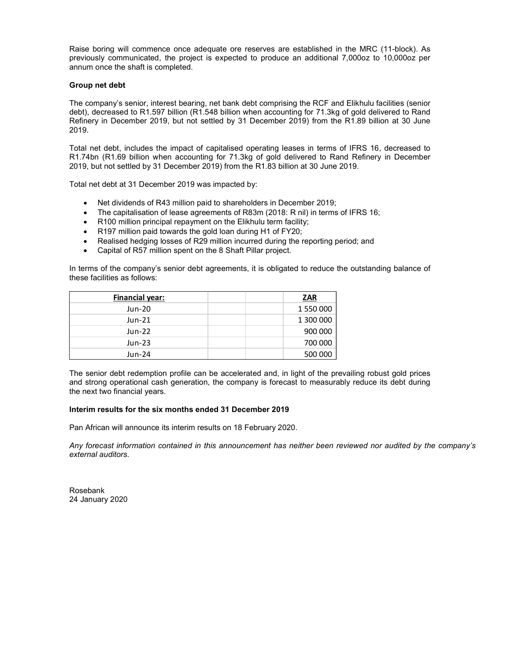Raise boring will commence once adequate ore reserves are established in the MRC (11-block). As previously communicated, the project is expected to produce an additional 7,000oz to 10,000oz per annum once the shaft is completed.

### Group net debt

- Net dividends of R43 million paid to shareholders in December 2019;
- The capitalisation of lease agreements of R83m (2018: R nil) in terms of IFRS 16;
- R100 million principal repayment on the Elikhulu term facility;
- R197 million paid towards the gold loan during H1 of FY20:
- Realised hedging losses of R29 million incurred during the reporting period; and
- Capital of R57 million spent on the 8 Shaft Pillar project.

| The company's senior, interest bearing, net bank debt comprising the RCF and Elikhulu facilities (senior<br>debt), decreased to R1.597 billion (R1.548 billion when accounting for 71.3kg of gold delivered to Rand<br>Refinery in December 2019, but not settled by 31 December 2019) from the R1.89 billion at 30 June<br>2019.                                                                                                                                                                                                                                                                                                                       |  |
|---------------------------------------------------------------------------------------------------------------------------------------------------------------------------------------------------------------------------------------------------------------------------------------------------------------------------------------------------------------------------------------------------------------------------------------------------------------------------------------------------------------------------------------------------------------------------------------------------------------------------------------------------------|--|
| Total net debt, includes the impact of capitalised operating leases in terms of IFRS 16, decreased to<br>R1.74bn (R1.69 billion when accounting for 71.3kg of gold delivered to Rand Refinery in December<br>2019, but not settled by 31 December 2019) from the R1.83 billion at 30 June 2019.                                                                                                                                                                                                                                                                                                                                                         |  |
| Total net debt at 31 December 2019 was impacted by:                                                                                                                                                                                                                                                                                                                                                                                                                                                                                                                                                                                                     |  |
| Net dividends of R43 million paid to shareholders in December 2019;<br>$\bullet$<br>The capitalisation of lease agreements of R83m (2018: R nil) in terms of IFRS 16;<br>R100 million principal repayment on the Elikhulu term facility;<br>$\bullet$<br>R197 million paid towards the gold loan during H1 of FY20;<br>$\bullet$<br>Realised hedging losses of R29 million incurred during the reporting period; and<br>$\bullet$<br>Capital of R57 million spent on the 8 Shaft Pillar project.<br>$\bullet$<br>In terms of the company's senior debt agreements, it is obligated to reduce the outstanding balance of<br>these facilities as follows: |  |
| <b>Financial year:</b><br><b>ZAR</b>                                                                                                                                                                                                                                                                                                                                                                                                                                                                                                                                                                                                                    |  |
| Jun-20<br>1 550 000                                                                                                                                                                                                                                                                                                                                                                                                                                                                                                                                                                                                                                     |  |
| 1 300 000<br>Jun-21                                                                                                                                                                                                                                                                                                                                                                                                                                                                                                                                                                                                                                     |  |
| <b>Jun-22</b><br>900 000                                                                                                                                                                                                                                                                                                                                                                                                                                                                                                                                                                                                                                |  |
| 700 000<br>$Jun-23$                                                                                                                                                                                                                                                                                                                                                                                                                                                                                                                                                                                                                                     |  |
| 500 000<br>Jun-24                                                                                                                                                                                                                                                                                                                                                                                                                                                                                                                                                                                                                                       |  |
| The senior debt redemption profile can be accelerated and, in light of the prevailing robust gold prices<br>and strong operational cash generation, the company is forecast to measurably reduce its debt during<br>the next two financial years.                                                                                                                                                                                                                                                                                                                                                                                                       |  |

## Interim results for the six months ended 31 December 2019

Pan African will announce its interim results on 18 February 2020.

Any forecast information contained in this announcement has neither been reviewed nor audited by the company's external auditors.

Rosebank 24 January 2020